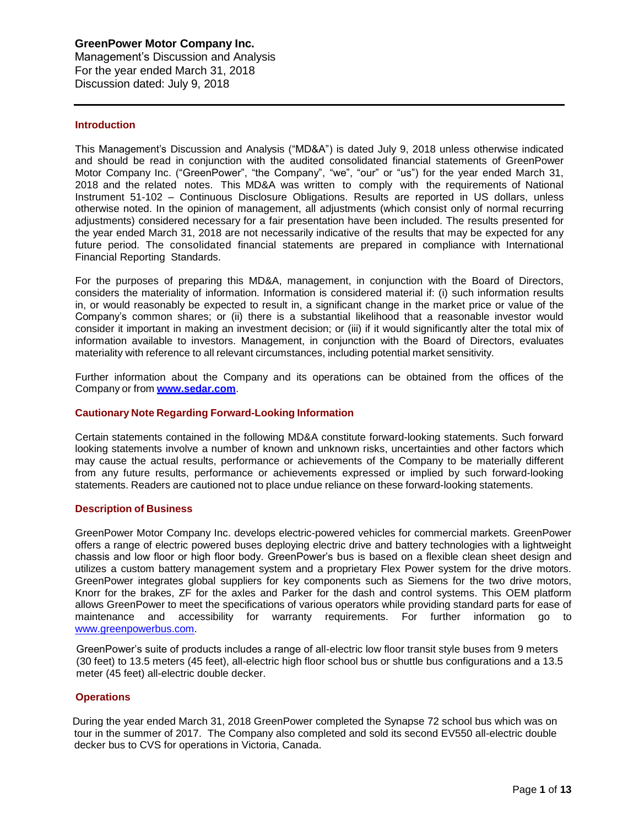Management's Discussion and Analysis For the year ended March 31, 2018 Discussion dated: July 9, 2018

#### **Introduction**

This Management's Discussion and Analysis ("MD&A") is dated July 9, 2018 unless otherwise indicated and should be read in conjunction with the audited consolidated financial statements of GreenPower Motor Company Inc. ("GreenPower", "the Company", "we", "our" or "us") for the year ended March 31, 2018 and the related notes. This MD&A was written to comply with the requirements of National Instrument 51-102 – Continuous Disclosure Obligations. Results are reported in US dollars, unless otherwise noted. In the opinion of management, all adjustments (which consist only of normal recurring adjustments) considered necessary for a fair presentation have been included. The results presented for the year ended March 31, 2018 are not necessarily indicative of the results that may be expected for any future period. The consolidated financial statements are prepared in compliance with International Financial Reporting Standards.

For the purposes of preparing this MD&A, management, in conjunction with the Board of Directors, considers the materiality of information. Information is considered material if: (i) such information results in, or would reasonably be expected to result in, a significant change in the market price or value of the Company's common shares; or (ii) there is a substantial likelihood that a reasonable investor would consider it important in making an investment decision; or (iii) if it would significantly alter the total mix of information available to investors. Management, in conjunction with the Board of Directors, evaluates materiality with reference to all relevant circumstances, including potential market sensitivity.

Further information about the Company and its operations can be obtained from the offices of the Company or from **[www.sedar.com](http://www.sedar.com/)**.

### **Cautionary Note Regarding Forward-Looking Information**

Certain statements contained in the following MD&A constitute forward-looking statements. Such forward looking statements involve a number of known and unknown risks, uncertainties and other factors which may cause the actual results, performance or achievements of the Company to be materially different from any future results, performance or achievements expressed or implied by such forward-looking statements. Readers are cautioned not to place undue reliance on these forward-looking statements.

#### **Description of Business**

GreenPower Motor Company Inc. develops electric-powered vehicles for commercial markets. GreenPower offers a range of electric powered buses deploying electric drive and battery technologies with a lightweight chassis and low floor or high floor body. GreenPower's bus is based on a flexible clean sheet design and utilizes a custom battery management system and a proprietary Flex Power system for the drive motors. GreenPower integrates global suppliers for key components such as Siemens for the two drive motors, Knorr for the brakes, ZF for the axles and Parker for the dash and control systems. This OEM platform allows GreenPower to meet the specifications of various operators while providing standard parts for ease of maintenance and accessibility for warranty requirements. For further information go to [www.greenpowerbus.com.](http://www.greenpowerbus.com/)

GreenPower's suite of products includes a range of all-electric low floor transit style buses from 9 meters (30 feet) to 13.5 meters (45 feet), all-electric high floor school bus or shuttle bus configurations and a 13.5 meter (45 feet) all-electric double decker.

# **Operations**

 During the year ended March 31, 2018 GreenPower completed the Synapse 72 school bus which was on tour in the summer of 2017. The Company also completed and sold its second EV550 all-electric double decker bus to CVS for operations in Victoria, Canada.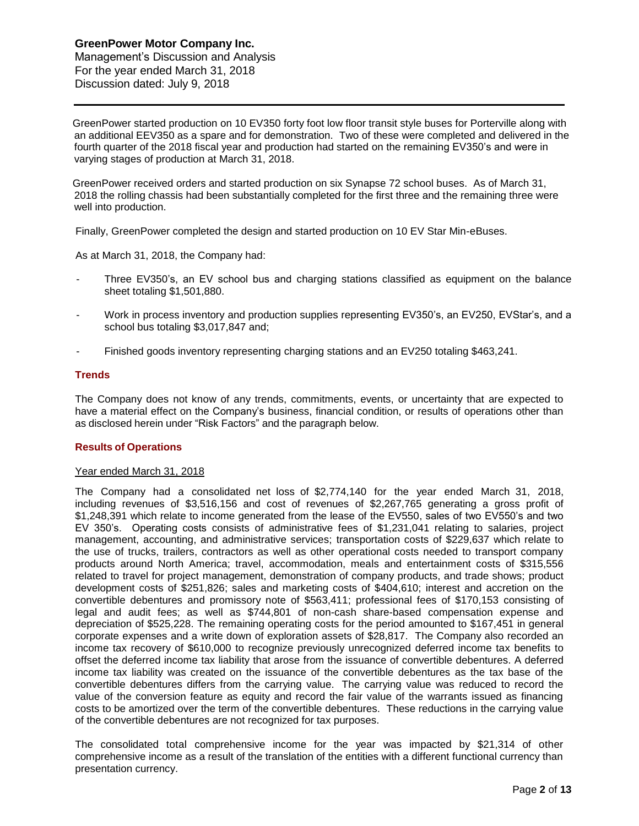Management's Discussion and Analysis For the year ended March 31, 2018 Discussion dated: July 9, 2018

 GreenPower started production on 10 EV350 forty foot low floor transit style buses for Porterville along with an additional EEV350 as a spare and for demonstration. Two of these were completed and delivered in the fourth quarter of the 2018 fiscal year and production had started on the remaining EV350's and were in varying stages of production at March 31, 2018.

 GreenPower received orders and started production on six Synapse 72 school buses. As of March 31, 2018 the rolling chassis had been substantially completed for the first three and the remaining three were well into production.

Finally, GreenPower completed the design and started production on 10 EV Star Min-eBuses.

As at March 31, 2018, the Company had:

- Three EV350's, an EV school bus and charging stations classified as equipment on the balance sheet totaling \$1,501,880.
- Work in process inventory and production supplies representing EV350's, an EV250, EVStar's, and a school bus totaling \$3,017,847 and;
- Finished goods inventory representing charging stations and an EV250 totaling \$463,241.

#### **Trends**

The Company does not know of any trends, commitments, events, or uncertainty that are expected to have a material effect on the Company's business, financial condition, or results of operations other than as disclosed herein under "Risk Factors" and the paragraph below.

# **Results of Operations**

#### Year ended March 31, 2018

The Company had a consolidated net loss of \$2,774,140 for the year ended March 31, 2018, including revenues of \$3,516,156 and cost of revenues of \$2,267,765 generating a gross profit of \$1,248,391 which relate to income generated from the lease of the EV550, sales of two EV550's and two EV 350's. Operating costs consists of administrative fees of \$1,231,041 relating to salaries, project management, accounting, and administrative services; transportation costs of \$229,637 which relate to the use of trucks, trailers, contractors as well as other operational costs needed to transport company products around North America; travel, accommodation, meals and entertainment costs of \$315,556 related to travel for project management, demonstration of company products, and trade shows; product development costs of \$251,826; sales and marketing costs of \$404,610; interest and accretion on the convertible debentures and promissory note of \$563,411; professional fees of \$170,153 consisting of legal and audit fees; as well as \$744,801 of non-cash share-based compensation expense and depreciation of \$525,228. The remaining operating costs for the period amounted to \$167,451 in general corporate expenses and a write down of exploration assets of \$28,817. The Company also recorded an income tax recovery of \$610,000 to recognize previously unrecognized deferred income tax benefits to offset the deferred income tax liability that arose from the issuance of convertible debentures. A deferred income tax liability was created on the issuance of the convertible debentures as the tax base of the convertible debentures differs from the carrying value. The carrying value was reduced to record the value of the conversion feature as equity and record the fair value of the warrants issued as financing costs to be amortized over the term of the convertible debentures. These reductions in the carrying value of the convertible debentures are not recognized for tax purposes.

The consolidated total comprehensive income for the year was impacted by \$21,314 of other comprehensive income as a result of the translation of the entities with a different functional currency than presentation currency.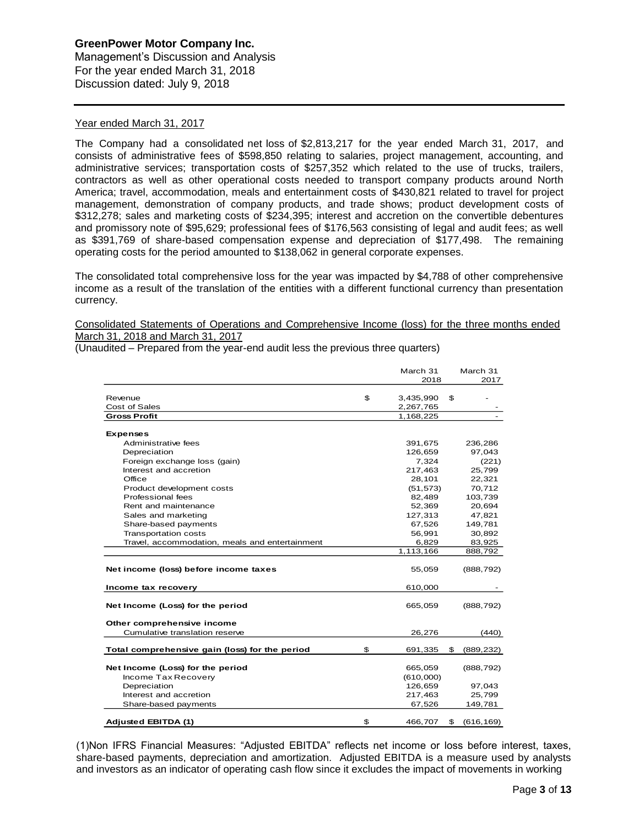# **GreenPower Motor Company Inc.** Management's Discussion and Analysis

For the year ended March 31, 2018 Discussion dated: July 9, 2018

# Year ended March 31, 2017

The Company had a consolidated net loss of \$2,813,217 for the year ended March 31, 2017, and consists of administrative fees of \$598,850 relating to salaries, project management, accounting, and administrative services; transportation costs of \$257,352 which related to the use of trucks, trailers, contractors as well as other operational costs needed to transport company products around North America; travel, accommodation, meals and entertainment costs of \$430,821 related to travel for project management, demonstration of company products, and trade shows; product development costs of \$312,278; sales and marketing costs of \$234,395; interest and accretion on the convertible debentures and promissory note of \$95,629; professional fees of \$176,563 consisting of legal and audit fees; as well as \$391,769 of share-based compensation expense and depreciation of \$177,498. The remaining operating costs for the period amounted to \$138,062 in general corporate expenses.

The consolidated total comprehensive loss for the year was impacted by \$4,788 of other comprehensive income as a result of the translation of the entities with a different functional currency than presentation currency.

# Consolidated Statements of Operations and Comprehensive Income (loss) for the three months ended March 31, 2018 and March 31, 2017

|                                                | March 31        | March 31         |
|------------------------------------------------|-----------------|------------------|
|                                                | 2018            | 2017             |
|                                                |                 |                  |
| Revenue                                        | \$<br>3,435,990 | \$               |
| Cost of Sales                                  | 2,267,765       |                  |
| <b>Gross Profit</b>                            | 1,168,225       |                  |
| <b>Expenses</b>                                |                 |                  |
| Administrative fees                            | 391,675         | 236,286          |
| Depreciation                                   | 126,659         | 97,043           |
| Foreign exchange loss (gain)                   | 7,324           | (221)            |
| Interest and accretion                         | 217,463         | 25,799           |
| Office                                         | 28,101          | 22,321           |
| Product development costs                      | (51, 573)       | 70,712           |
| Professional fees                              | 82,489          | 103,739          |
| Rent and maintenance                           | 52,369          | 20,694           |
| Sales and marketing                            | 127,313         | 47,821           |
| Share-based payments                           | 67,526          | 149,781          |
| <b>Transportation costs</b>                    | 56,991          | 30,892           |
| Travel, accommodation, meals and entertainment | 6,829           | 83,925           |
|                                                | 1,113,166       | 888,792          |
| Net income (loss) before income taxes          | 55,059          | (888, 792)       |
| Income tax recovery                            | 610,000         |                  |
| Net Income (Loss) for the period               | 665,059         | (888, 792)       |
| Other comprehensive income                     |                 |                  |
| Cumulative translation reserve                 | 26,276          | (440)            |
| Total comprehensive gain (loss) for the period | \$<br>691,335   | \$<br>(889, 232) |
|                                                |                 |                  |
| Net Income (Loss) for the period               | 665,059         | (888, 792)       |
| Income Tax Recovery                            | (610,000)       |                  |
| Depreciation                                   | 126,659         | 97,043           |
| Interest and accretion                         | 217,463         | 25,799           |
| Share-based payments                           | 67,526          | 149,781          |
| <b>Adjusted EBITDA (1)</b>                     | \$<br>466,707   | \$<br>(616, 169) |

(Unaudited – Prepared from the year-end audit less the previous three quarters)

(1)Non IFRS Financial Measures: "Adjusted EBITDA" reflects net income or loss before interest, taxes, share-based payments, depreciation and amortization. Adjusted EBITDA is a measure used by analysts and investors as an indicator of operating cash flow since it excludes the impact of movements in working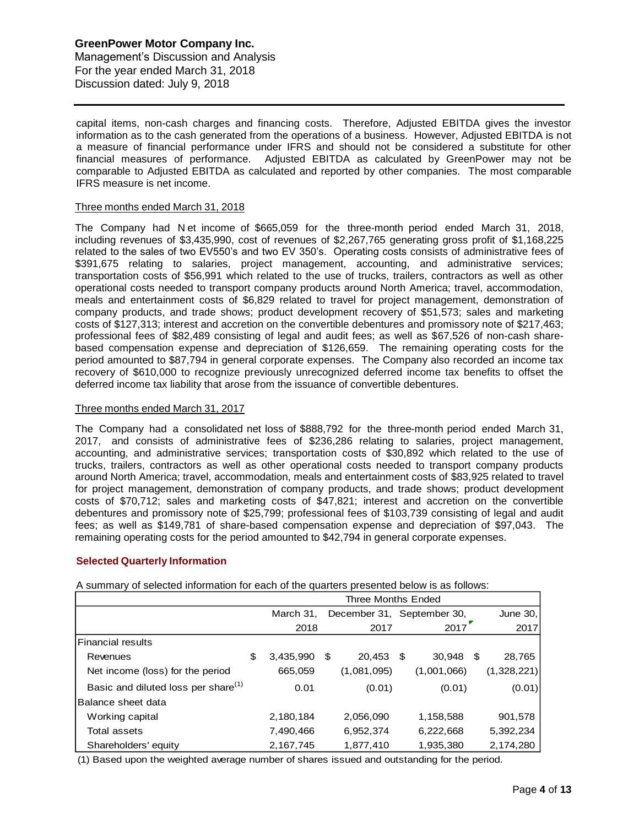# **GreenPower Motor Company Inc.** Management's Discussion and Analysis For the year ended March 31, 2018 Discussion dated: July 9, 2018

capital items, non-cash charges and financing costs. Therefore, Adjusted EBITDA gives the investor information as to the cash generated from the operations of a business. However, Adjusted EBITDA is not a measure of financial performance under IFRS and should not be considered a substitute for other financial measures of performance. Adjusted EBITDA as calculated by GreenPower may not be comparable to Adjusted EBITDA as calculated and reported by other companies. The most comparable IFRS measure is net income.

# Three months ended March 31, 2018

The Company had N et income of \$665,059 for the three-month period ended March 31, 2018, including revenues of \$3,435,990, cost of revenues of \$2,267,765 generating gross profit of \$1,168,225 related to the sales of two EV550's and two EV 350's. Operating costs consists of administrative fees of \$391,675 relating to salaries, project management, accounting, and administrative services; transportation costs of \$56,991 which related to the use of trucks, trailers, contractors as well as other operational costs needed to transport company products around North America; travel, accommodation, meals and entertainment costs of \$6,829 related to travel for project management, demonstration of company products, and trade shows; product development recovery of \$51,573; sales and marketing costs of \$127,313; interest and accretion on the convertible debentures and promissory note of \$217,463; professional fees of \$82,489 consisting of legal and audit fees; as well as \$67,526 of non-cash sharebased compensation expense and depreciation of \$126,659. The remaining operating costs for the period amounted to \$87,794 in general corporate expenses. The Company also recorded an income tax recovery of \$610,000 to recognize previously unrecognized deferred income tax benefits to offset the deferred income tax liability that arose from the issuance of convertible debentures.

# Three months ended March 31, 2017

The Company had a consolidated net loss of \$888,792 for the three-month period ended March 31, 2017, and consists of administrative fees of \$236,286 relating to salaries, project management, accounting, and administrative services; transportation costs of \$30,892 which related to the use of trucks, trailers, contractors as well as other operational costs needed to transport company products around North America; travel, accommodation, meals and entertainment costs of \$83,925 related to travel for project management, demonstration of company products, and trade shows; product development costs of \$70,712; sales and marketing costs of \$47,821; interest and accretion on the convertible debentures and promissory note of \$25,799; professional fees of \$103,739 consisting of legal and audit fees; as well as \$149,781 of share-based compensation expense and depreciation of \$97,043. The remaining operating costs for the period amounted to \$42,794 in general corporate expenses.

# **Selected Quarterly Information**

A summary of selected information for each of the quarters presented below is as follows:

|                                                 | Three Months Ended |           |   |                            |    |             |    |             |
|-------------------------------------------------|--------------------|-----------|---|----------------------------|----|-------------|----|-------------|
|                                                 | March 31,          |           |   | December 31, September 30, |    |             |    | June 30,    |
|                                                 |                    | 2018      |   | 2017                       |    | 2017        |    | 2017        |
| l Financial results                             |                    |           |   |                            |    |             |    |             |
| Revenues                                        | \$                 | 3,435,990 | S | 20,453                     | -S | 30,948      | \$ | 28,765      |
| Net income (loss) for the period                |                    | 665,059   |   | (1,081,095)                |    | (1,001,066) |    | (1,328,221) |
| Basic and diluted loss per share <sup>(1)</sup> |                    | 0.01      |   | (0.01)                     |    | (0.01)      |    | (0.01)      |
| lBalance sheet data                             |                    |           |   |                            |    |             |    |             |
| Working capital                                 |                    | 2,180,184 |   | 2,056,090                  |    | 1,158,588   |    | 901,578     |
| Total assets                                    |                    | 7,490,466 |   | 6,952,374                  |    | 6,222,668   |    | 5,392,234   |
| Shareholders' equity                            |                    | 2,167,745 |   | 1,877,410                  |    | 1,935,380   |    | 2,174,280   |

(1) Based upon the weighted average number of shares issued and outstanding for the period.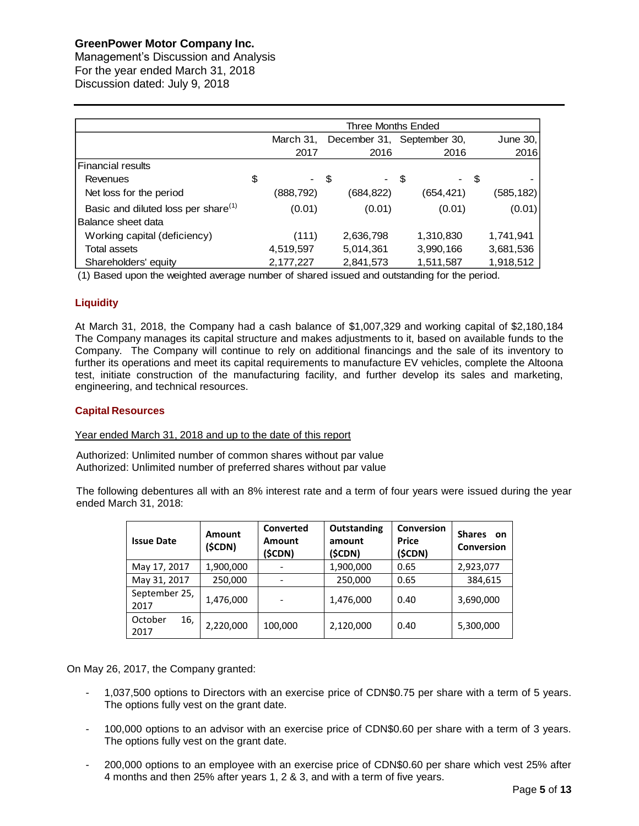Management's Discussion and Analysis For the year ended March 31, 2018 Discussion dated: July 9, 2018

|                                                 | Three Months Ended |                                         |      |           |  |            |      |            |
|-------------------------------------------------|--------------------|-----------------------------------------|------|-----------|--|------------|------|------------|
|                                                 |                    | March 31,<br>December 31, September 30, |      |           |  |            |      | June 30,   |
|                                                 |                    | 2017                                    |      | 2016      |  | 2016       |      | 2016       |
| <b>Financial results</b>                        |                    |                                         |      |           |  |            |      |            |
| Revenues                                        | \$                 |                                         | - \$ | - \$      |  | $\sim 100$ | - \$ |            |
| Net loss for the period                         |                    | (888,792)                               |      | (684,822) |  | (654, 421) |      | (585, 182) |
| Basic and diluted loss per share <sup>(1)</sup> |                    | (0.01)                                  |      | (0.01)    |  | (0.01)     |      | (0.01)     |
| Balance sheet data                              |                    |                                         |      |           |  |            |      |            |
| Working capital (deficiency)                    |                    | (111)                                   |      | 2,636,798 |  | 1,310,830  |      | 1,741,941  |
| Total assets                                    |                    | 4,519,597                               |      | 5,014,361 |  | 3,990,166  |      | 3,681,536  |
| Shareholders' equity                            |                    | 2,177,227                               |      | 2,841,573 |  | 1,511,587  |      | 1,918,512  |

(1) Based upon the weighted average number of shared issued and outstanding for the period.

# **Liquidity**

At March 31, 2018, the Company had a cash balance of \$1,007,329 and working capital of \$2,180,184 The Company manages its capital structure and makes adjustments to it, based on available funds to the Company. The Company will continue to rely on additional financings and the sale of its inventory to further its operations and meet its capital requirements to manufacture EV vehicles, complete the Altoona test, initiate construction of the manufacturing facility, and further develop its sales and marketing, engineering, and technical resources.

### **Capital Resources**

# Year ended March 31, 2018 and up to the date of this report

Authorized: Unlimited number of common shares without par value Authorized: Unlimited number of preferred shares without par value

The following debentures all with an 8% interest rate and a term of four years were issued during the year ended March 31, 2018:

| <b>Issue Date</b>      | Amount<br>(\$CDN) | Converted<br><b>Amount</b><br>(\$CDN) | Outstanding<br>amount<br>(\$CDN) | Conversion<br>Price<br>(\$CDN) | <b>Shares</b><br>on<br><b>Conversion</b> |
|------------------------|-------------------|---------------------------------------|----------------------------------|--------------------------------|------------------------------------------|
| May 17, 2017           | 1,900,000         |                                       | 1,900,000                        | 0.65                           | 2,923,077                                |
| May 31, 2017           | 250,000           |                                       | 250,000                          | 0.65                           | 384,615                                  |
| September 25,<br>2017  | 1,476,000         |                                       | 1,476,000                        | 0.40                           | 3,690,000                                |
| October<br>16,<br>2017 | 2,220,000         | 100,000                               | 2,120,000                        | 0.40                           | 5,300,000                                |

On May 26, 2017, the Company granted:

- 1,037,500 options to Directors with an exercise price of CDN\$0.75 per share with a term of 5 years. The options fully vest on the grant date.
- 100,000 options to an advisor with an exercise price of CDN\$0.60 per share with a term of 3 years. The options fully vest on the grant date.
- 200,000 options to an employee with an exercise price of CDN\$0.60 per share which vest 25% after 4 months and then 25% after years 1, 2 & 3, and with a term of five years.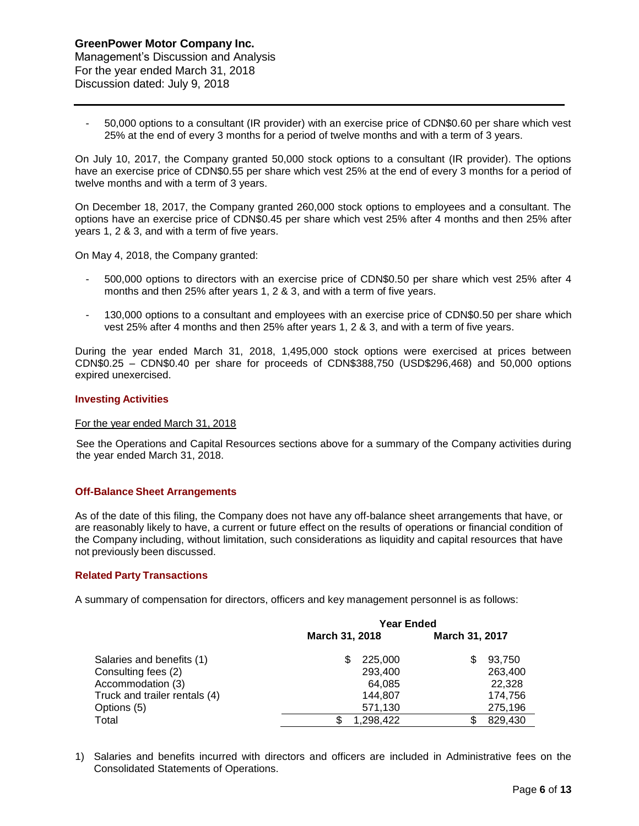- 50,000 options to a consultant (IR provider) with an exercise price of CDN\$0.60 per share which vest 25% at the end of every 3 months for a period of twelve months and with a term of 3 years.

On July 10, 2017, the Company granted 50,000 stock options to a consultant (IR provider). The options have an exercise price of CDN\$0.55 per share which vest 25% at the end of every 3 months for a period of twelve months and with a term of 3 years.

On December 18, 2017, the Company granted 260,000 stock options to employees and a consultant. The options have an exercise price of CDN\$0.45 per share which vest 25% after 4 months and then 25% after years 1, 2 & 3, and with a term of five years.

On May 4, 2018, the Company granted:

- 500,000 options to directors with an exercise price of CDN\$0.50 per share which vest 25% after 4 months and then 25% after years 1, 2 & 3, and with a term of five years.
- 130,000 options to a consultant and employees with an exercise price of CDN\$0.50 per share which vest 25% after 4 months and then 25% after years 1, 2 & 3, and with a term of five years.

During the year ended March 31, 2018, 1,495,000 stock options were exercised at prices between CDN\$0.25 – CDN\$0.40 per share for proceeds of CDN\$388,750 (USD\$296,468) and 50,000 options expired unexercised.

#### **Investing Activities**

#### For the year ended March 31, 2018

See the Operations and Capital Resources sections above for a summary of the Company activities during the year ended March 31, 2018.

#### **Off-Balance Sheet Arrangements**

As of the date of this filing, the Company does not have any off-balance sheet arrangements that have, or are reasonably likely to have, a current or future effect on the results of operations or financial condition of the Company including, without limitation, such considerations as liquidity and capital resources that have not previously been discussed.

#### **Related Party Transactions**

A summary of compensation for directors, officers and key management personnel is as follows:

|                               | <b>Year Ended</b> |           |                |         |  |  |
|-------------------------------|-------------------|-----------|----------------|---------|--|--|
|                               | March 31, 2018    |           | March 31, 2017 |         |  |  |
| Salaries and benefits (1)     | S                 | 225,000   |                | 93,750  |  |  |
| Consulting fees (2)           |                   | 293,400   |                | 263,400 |  |  |
| Accommodation (3)             |                   | 64,085    |                | 22.328  |  |  |
| Truck and trailer rentals (4) |                   | 144.807   |                | 174,756 |  |  |
| Options (5)                   |                   | 571,130   |                | 275,196 |  |  |
| Total                         |                   | 1,298,422 |                | 829,430 |  |  |

1) Salaries and benefits incurred with directors and officers are included in Administrative fees on the Consolidated Statements of Operations.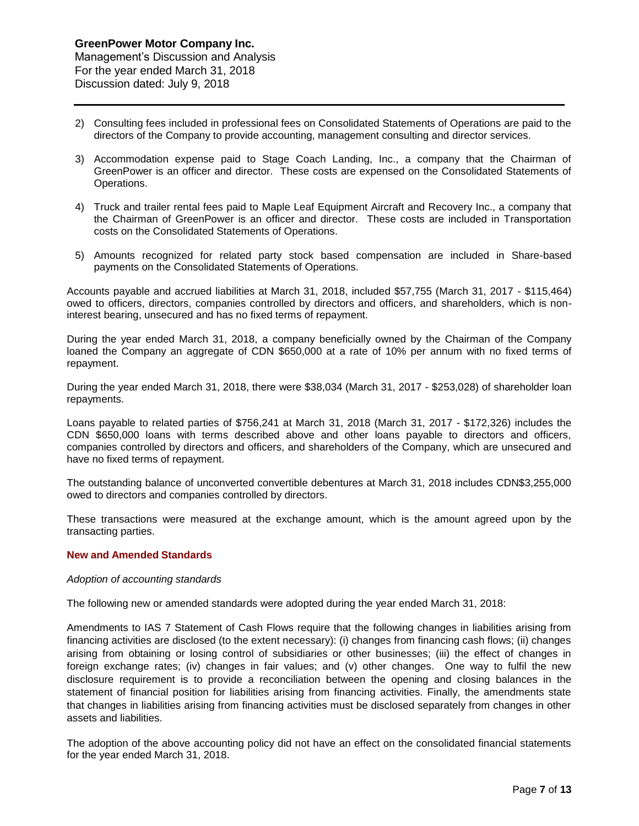- 2) Consulting fees included in professional fees on Consolidated Statements of Operations are paid to the directors of the Company to provide accounting, management consulting and director services.
- 3) Accommodation expense paid to Stage Coach Landing, Inc., a company that the Chairman of GreenPower is an officer and director. These costs are expensed on the Consolidated Statements of Operations.
- 4) Truck and trailer rental fees paid to Maple Leaf Equipment Aircraft and Recovery Inc., a company that the Chairman of GreenPower is an officer and director. These costs are included in Transportation costs on the Consolidated Statements of Operations.
- 5) Amounts recognized for related party stock based compensation are included in Share-based payments on the Consolidated Statements of Operations.

Accounts payable and accrued liabilities at March 31, 2018, included \$57,755 (March 31, 2017 - \$115,464) owed to officers, directors, companies controlled by directors and officers, and shareholders, which is noninterest bearing, unsecured and has no fixed terms of repayment.

During the year ended March 31, 2018, a company beneficially owned by the Chairman of the Company loaned the Company an aggregate of CDN \$650,000 at a rate of 10% per annum with no fixed terms of repayment.

During the year ended March 31, 2018, there were \$38,034 (March 31, 2017 - \$253,028) of shareholder loan repayments.

Loans payable to related parties of \$756,241 at March 31, 2018 (March 31, 2017 - \$172,326) includes the CDN \$650,000 loans with terms described above and other loans payable to directors and officers, companies controlled by directors and officers, and shareholders of the Company, which are unsecured and have no fixed terms of repayment.

The outstanding balance of unconverted convertible debentures at March 31, 2018 includes CDN\$3,255,000 owed to directors and companies controlled by directors.

These transactions were measured at the exchange amount, which is the amount agreed upon by the transacting parties.

# **New and Amended Standards**

#### *Adoption of accounting standards*

The following new or amended standards were adopted during the year ended March 31, 2018:

Amendments to IAS 7 Statement of Cash Flows require that the following changes in liabilities arising from financing activities are disclosed (to the extent necessary): (i) changes from financing cash flows; (ii) changes arising from obtaining or losing control of subsidiaries or other businesses; (iii) the effect of changes in foreign exchange rates; (iv) changes in fair values; and (v) other changes. One way to fulfil the new disclosure requirement is to provide a reconciliation between the opening and closing balances in the statement of financial position for liabilities arising from financing activities. Finally, the amendments state that changes in liabilities arising from financing activities must be disclosed separately from changes in other assets and liabilities.

The adoption of the above accounting policy did not have an effect on the consolidated financial statements for the year ended March 31, 2018.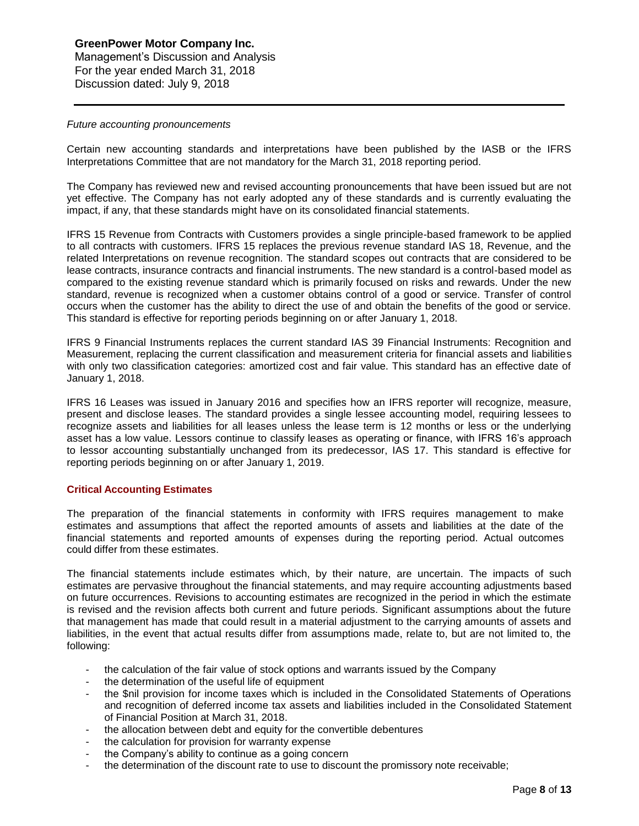# **GreenPower Motor Company Inc.** Management's Discussion and Analysis For the year ended March 31, 2018 Discussion dated: July 9, 2018

#### *Future accounting pronouncements*

Certain new accounting standards and interpretations have been published by the IASB or the IFRS Interpretations Committee that are not mandatory for the March 31, 2018 reporting period.

The Company has reviewed new and revised accounting pronouncements that have been issued but are not yet effective. The Company has not early adopted any of these standards and is currently evaluating the impact, if any, that these standards might have on its consolidated financial statements.

IFRS 15 Revenue from Contracts with Customers provides a single principle-based framework to be applied to all contracts with customers. IFRS 15 replaces the previous revenue standard IAS 18, Revenue, and the related Interpretations on revenue recognition. The standard scopes out contracts that are considered to be lease contracts, insurance contracts and financial instruments. The new standard is a control-based model as compared to the existing revenue standard which is primarily focused on risks and rewards. Under the new standard, revenue is recognized when a customer obtains control of a good or service. Transfer of control occurs when the customer has the ability to direct the use of and obtain the benefits of the good or service. This standard is effective for reporting periods beginning on or after January 1, 2018.

IFRS 9 Financial Instruments replaces the current standard IAS 39 Financial Instruments: Recognition and Measurement, replacing the current classification and measurement criteria for financial assets and liabilities with only two classification categories: amortized cost and fair value. This standard has an effective date of January 1, 2018.

IFRS 16 Leases was issued in January 2016 and specifies how an IFRS reporter will recognize, measure, present and disclose leases. The standard provides a single lessee accounting model, requiring lessees to recognize assets and liabilities for all leases unless the lease term is 12 months or less or the underlying asset has a low value. Lessors continue to classify leases as operating or finance, with IFRS 16's approach to lessor accounting substantially unchanged from its predecessor, IAS 17. This standard is effective for reporting periods beginning on or after January 1, 2019.

# **Critical Accounting Estimates**

The preparation of the financial statements in conformity with IFRS requires management to make estimates and assumptions that affect the reported amounts of assets and liabilities at the date of the financial statements and reported amounts of expenses during the reporting period. Actual outcomes could differ from these estimates.

The financial statements include estimates which, by their nature, are uncertain. The impacts of such estimates are pervasive throughout the financial statements, and may require accounting adjustments based on future occurrences. Revisions to accounting estimates are recognized in the period in which the estimate is revised and the revision affects both current and future periods. Significant assumptions about the future that management has made that could result in a material adjustment to the carrying amounts of assets and liabilities, in the event that actual results differ from assumptions made, relate to, but are not limited to, the following:

- the calculation of the fair value of stock options and warrants issued by the Company
- the determination of the useful life of equipment
- the \$nil provision for income taxes which is included in the Consolidated Statements of Operations and recognition of deferred income tax assets and liabilities included in the Consolidated Statement of Financial Position at March 31, 2018.
- the allocation between debt and equity for the convertible debentures
- the calculation for provision for warranty expense
- the Company's ability to continue as a going concern
- the determination of the discount rate to use to discount the promissory note receivable;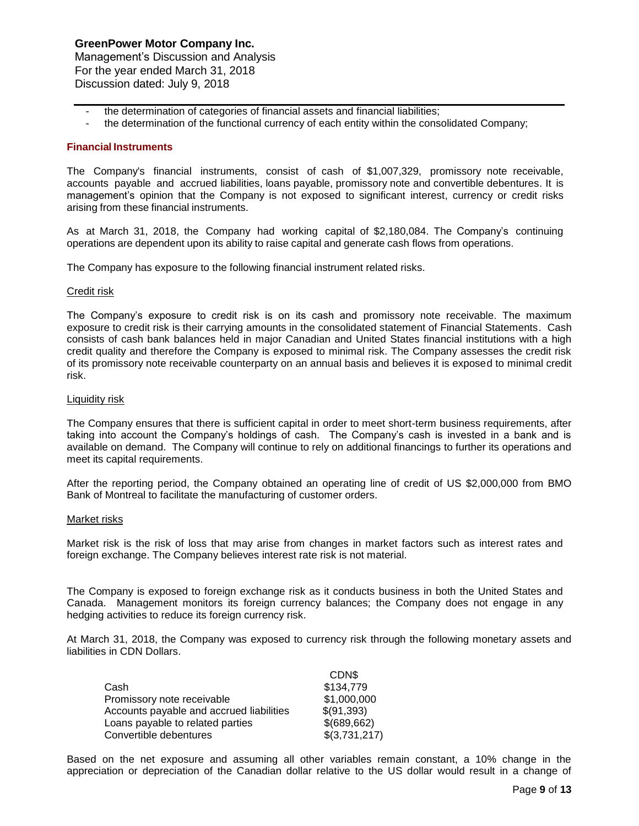Management's Discussion and Analysis For the year ended March 31, 2018 Discussion dated: July 9, 2018

- the determination of categories of financial assets and financial liabilities;
- the determination of the functional currency of each entity within the consolidated Company;

### **Financial Instruments**

The Company's financial instruments, consist of cash of \$1,007,329, promissory note receivable, accounts payable and accrued liabilities, loans payable, promissory note and convertible debentures. It is management's opinion that the Company is not exposed to significant interest, currency or credit risks arising from these financial instruments.

As at March 31, 2018, the Company had working capital of \$2,180,084. The Company's continuing operations are dependent upon its ability to raise capital and generate cash flows from operations.

The Company has exposure to the following financial instrument related risks.

#### Credit risk

The Company's exposure to credit risk is on its cash and promissory note receivable. The maximum exposure to credit risk is their carrying amounts in the consolidated statement of Financial Statements. Cash consists of cash bank balances held in major Canadian and United States financial institutions with a high credit quality and therefore the Company is exposed to minimal risk. The Company assesses the credit risk of its promissory note receivable counterparty on an annual basis and believes it is exposed to minimal credit risk.

#### Liquidity risk

The Company ensures that there is sufficient capital in order to meet short-term business requirements, after taking into account the Company's holdings of cash. The Company's cash is invested in a bank and is available on demand. The Company will continue to rely on additional financings to further its operations and meet its capital requirements.

After the reporting period, the Company obtained an operating line of credit of US \$2,000,000 from BMO Bank of Montreal to facilitate the manufacturing of customer orders.

#### Market risks

Market risk is the risk of loss that may arise from changes in market factors such as interest rates and foreign exchange. The Company believes interest rate risk is not material.

The Company is exposed to foreign exchange risk as it conducts business in both the United States and Canada. Management monitors its foreign currency balances; the Company does not engage in any hedging activities to reduce its foreign currency risk.

At March 31, 2018, the Company was exposed to currency risk through the following monetary assets and liabilities in CDN Dollars.

| CDN\$         |
|---------------|
| \$134,779     |
| \$1,000,000   |
| \$(91,393)    |
| \$(689,662)   |
| \$(3,731,217) |
|               |

Based on the net exposure and assuming all other variables remain constant, a 10% change in the appreciation or depreciation of the Canadian dollar relative to the US dollar would result in a change of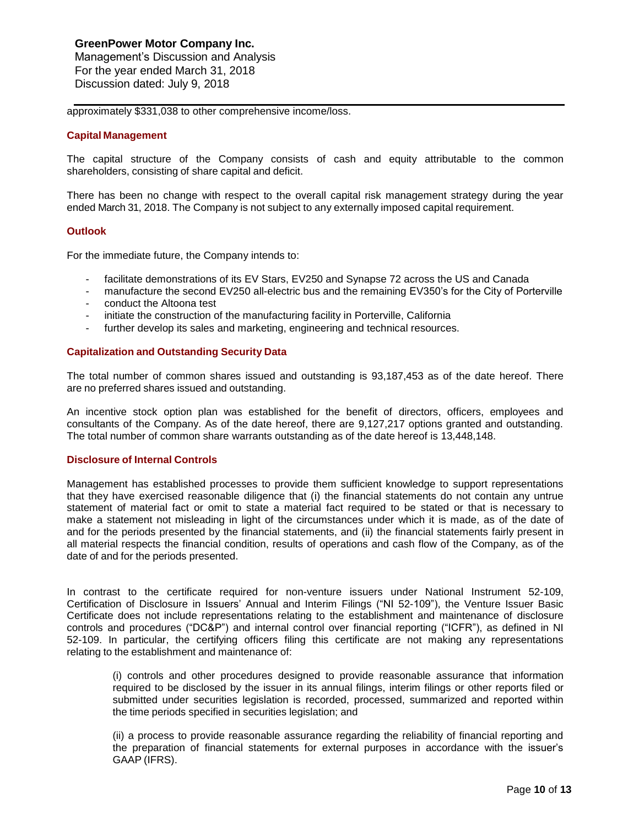Management's Discussion and Analysis For the year ended March 31, 2018 Discussion dated: July 9, 2018

approximately \$331,038 to other comprehensive income/loss.

#### **Capital Management**

The capital structure of the Company consists of cash and equity attributable to the common shareholders, consisting of share capital and deficit.

There has been no change with respect to the overall capital risk management strategy during the year ended March 31, 2018. The Company is not subject to any externally imposed capital requirement.

#### **Outlook**

For the immediate future, the Company intends to:

- facilitate demonstrations of its EV Stars, EV250 and Synapse 72 across the US and Canada
- manufacture the second EV250 all-electric bus and the remaining EV350's for the City of Porterville
- conduct the Altoona test
- initiate the construction of the manufacturing facility in Porterville, California
- further develop its sales and marketing, engineering and technical resources.

# **Capitalization and Outstanding Security Data**

The total number of common shares issued and outstanding is 93,187,453 as of the date hereof. There are no preferred shares issued and outstanding.

An incentive stock option plan was established for the benefit of directors, officers, employees and consultants of the Company. As of the date hereof, there are 9,127,217 options granted and outstanding. The total number of common share warrants outstanding as of the date hereof is 13,448,148.

# **Disclosure of Internal Controls**

Management has established processes to provide them sufficient knowledge to support representations that they have exercised reasonable diligence that (i) the financial statements do not contain any untrue statement of material fact or omit to state a material fact required to be stated or that is necessary to make a statement not misleading in light of the circumstances under which it is made, as of the date of and for the periods presented by the financial statements, and (ii) the financial statements fairly present in all material respects the financial condition, results of operations and cash flow of the Company, as of the date of and for the periods presented.

In contrast to the certificate required for non-venture issuers under National Instrument 52-109, Certification of Disclosure in Issuers' Annual and Interim Filings ("NI 52-109"), the Venture Issuer Basic Certificate does not include representations relating to the establishment and maintenance of disclosure controls and procedures ("DC&P") and internal control over financial reporting ("ICFR"), as defined in NI 52-109. In particular, the certifying officers filing this certificate are not making any representations relating to the establishment and maintenance of:

(i) controls and other procedures designed to provide reasonable assurance that information required to be disclosed by the issuer in its annual filings, interim filings or other reports filed or submitted under securities legislation is recorded, processed, summarized and reported within the time periods specified in securities legislation; and

(ii) a process to provide reasonable assurance regarding the reliability of financial reporting and the preparation of financial statements for external purposes in accordance with the issuer's GAAP (IFRS).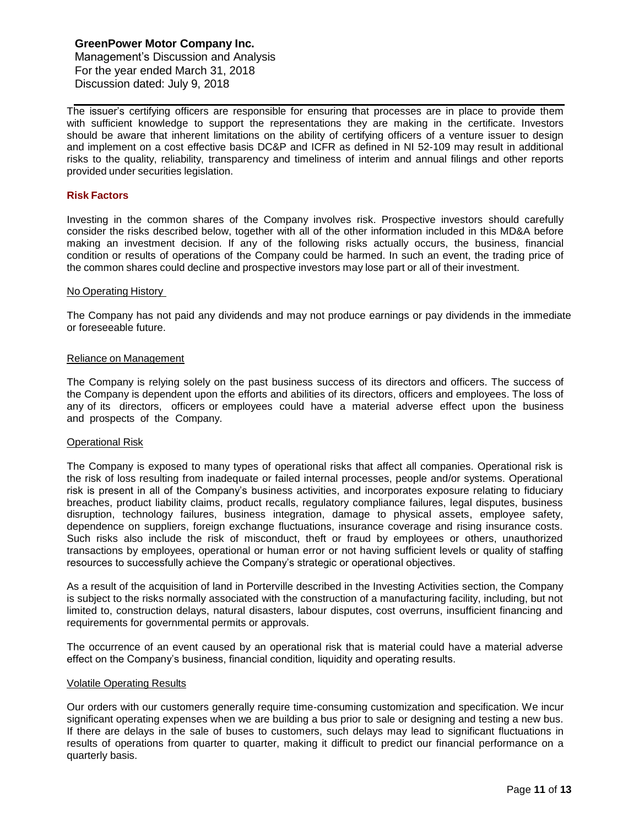Management's Discussion and Analysis For the year ended March 31, 2018 Discussion dated: July 9, 2018

The issuer's certifying officers are responsible for ensuring that processes are in place to provide them with sufficient knowledge to support the representations they are making in the certificate. Investors should be aware that inherent limitations on the ability of certifying officers of a venture issuer to design and implement on a cost effective basis DC&P and ICFR as defined in NI 52-109 may result in additional risks to the quality, reliability, transparency and timeliness of interim and annual filings and other reports provided under securities legislation.

#### **Risk Factors**

Investing in the common shares of the Company involves risk. Prospective investors should carefully consider the risks described below, together with all of the other information included in this MD&A before making an investment decision. If any of the following risks actually occurs, the business, financial condition or results of operations of the Company could be harmed. In such an event, the trading price of the common shares could decline and prospective investors may lose part or all of their investment.

#### No Operating History

The Company has not paid any dividends and may not produce earnings or pay dividends in the immediate or foreseeable future.

#### Reliance on Management

The Company is relying solely on the past business success of its directors and officers. The success of the Company is dependent upon the efforts and abilities of its directors, officers and employees. The loss of any of its directors, officers or employees could have a material adverse effect upon the business and prospects of the Company.

# Operational Risk

The Company is exposed to many types of operational risks that affect all companies. Operational risk is the risk of loss resulting from inadequate or failed internal processes, people and/or systems. Operational risk is present in all of the Company's business activities, and incorporates exposure relating to fiduciary breaches, product liability claims, product recalls, regulatory compliance failures, legal disputes, business disruption, technology failures, business integration, damage to physical assets, employee safety, dependence on suppliers, foreign exchange fluctuations, insurance coverage and rising insurance costs. Such risks also include the risk of misconduct, theft or fraud by employees or others, unauthorized transactions by employees, operational or human error or not having sufficient levels or quality of staffing resources to successfully achieve the Company's strategic or operational objectives.

As a result of the acquisition of land in Porterville described in the Investing Activities section, the Company is subject to the risks normally associated with the construction of a manufacturing facility, including, but not limited to, construction delays, natural disasters, labour disputes, cost overruns, insufficient financing and requirements for governmental permits or approvals.

The occurrence of an event caused by an operational risk that is material could have a material adverse effect on the Company's business, financial condition, liquidity and operating results.

#### Volatile Operating Results

Our orders with our customers generally require time-consuming customization and specification. We incur significant operating expenses when we are building a bus prior to sale or designing and testing a new bus. If there are delays in the sale of buses to customers, such delays may lead to significant fluctuations in results of operations from quarter to quarter, making it difficult to predict our financial performance on a quarterly basis.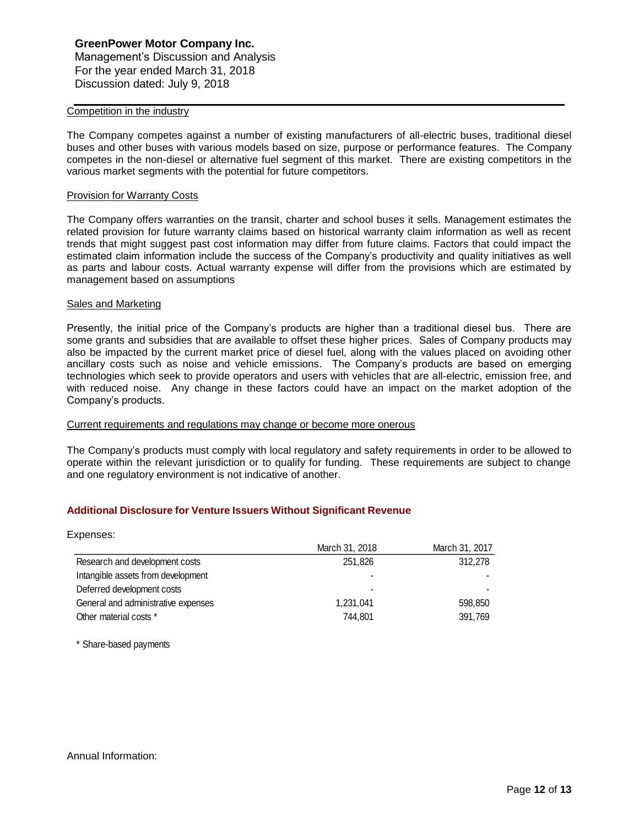# **GreenPower Motor Company Inc.** Management's Discussion and Analysis For the year ended March 31, 2018 Discussion dated: July 9, 2018

#### Competition in the industry

The Company competes against a number of existing manufacturers of all-electric buses, traditional diesel buses and other buses with various models based on size, purpose or performance features. The Company competes in the non-diesel or alternative fuel segment of this market. There are existing competitors in the various market segments with the potential for future competitors.

#### Provision for Warranty Costs

The Company offers warranties on the transit, charter and school buses it sells. Management estimates the related provision for future warranty claims based on historical warranty claim information as well as recent trends that might suggest past cost information may differ from future claims. Factors that could impact the estimated claim information include the success of the Company's productivity and quality initiatives as well as parts and labour costs. Actual warranty expense will differ from the provisions which are estimated by management based on assumptions

#### Sales and Marketing

Presently, the initial price of the Company's products are higher than a traditional diesel bus. There are some grants and subsidies that are available to offset these higher prices. Sales of Company products may also be impacted by the current market price of diesel fuel, along with the values placed on avoiding other ancillary costs such as noise and vehicle emissions. The Company's products are based on emerging technologies which seek to provide operators and users with vehicles that are all-electric, emission free, and with reduced noise. Any change in these factors could have an impact on the market adoption of the Company's products.

#### Current requirements and regulations may change or become more onerous

The Company's products must comply with local regulatory and safety requirements in order to be allowed to operate within the relevant jurisdiction or to qualify for funding. These requirements are subject to change and one regulatory environment is not indicative of another.

# **Additional Disclosure for Venture Issuers Without Significant Revenue**

| Expenses:                           |                |                |
|-------------------------------------|----------------|----------------|
|                                     | March 31, 2018 | March 31, 2017 |
| Research and development costs      | 251,826        | 312,278        |
| Intangible assets from development  |                |                |
| Deferred development costs          |                |                |
| General and administrative expenses | 1,231,041      | 598,850        |
| Other material costs *              | 744.801        | 391,769        |

\* Share-based payments